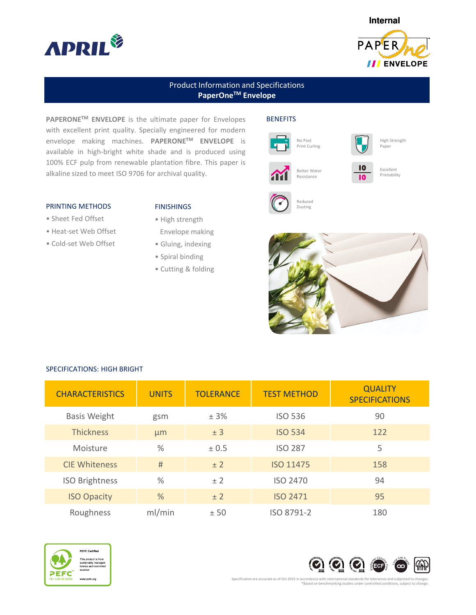



# Product Information and Specifications PaperOne<sup>™</sup> Envelope

PAPERONE™ ENVELOPE is the ultimate paper for Envelopes with excellent print quality. Specially engineered for modern envelope making machines. PAPERONETM ENVELOPE is available in high-bright white shade and is produced using 100% ECF pulp from renewable plantation fibre. This paper is alkaline sized to meet ISO 9706 for archival quality.

# **BENEFITS**





10 10 High Strength Paper



Excellent **Printability** 



Reduced Dusting





#### PRINTING METHODS

- Sheet Fed Offset
- Heat-set Web Offset
- Cold-set Web Offset

# FINISHINGS

- High strength
- Envelope making
- Gluing, indexing
- Spiral binding
- Cutting & folding

SPECIFICATIONS: HIGH BRIGHT

| <b>CHARACTERISTICS</b> | <b>UNITS</b>  | <b>TOLERANCE</b> | <b>TEST METHOD</b> | <b>QUALITY</b><br><b>SPECIFICATIONS</b> |
|------------------------|---------------|------------------|--------------------|-----------------------------------------|
| <b>Basis Weight</b>    | gsm           | ± 3%             | <b>ISO 536</b>     | 90                                      |
| <b>Thickness</b>       | µm            | ± 3              | <b>ISO 534</b>     | 122                                     |
| Moisture               | $\frac{0}{0}$ | ± 0.5            | <b>ISO 287</b>     | 5                                       |
| <b>CIE Whiteness</b>   | #             | ± 2              | <b>ISO 11475</b>   | 158                                     |
| <b>ISO Brightness</b>  | $\%$          | ± 2              | <b>ISO 2470</b>    | 94                                      |
| <b>ISO Opacity</b>     | $\%$          | ± 2              | <b>ISO 2471</b>    | 95                                      |
| Roughness              | ml/min        | ± 50             | ISO 8791-2         | 180                                     |





Specification are accurate as of Oct 2015 in accordance with international standards for tolerances and subjected to changes. \*Based on benchmarking studies under controlled conditions, subject to change.